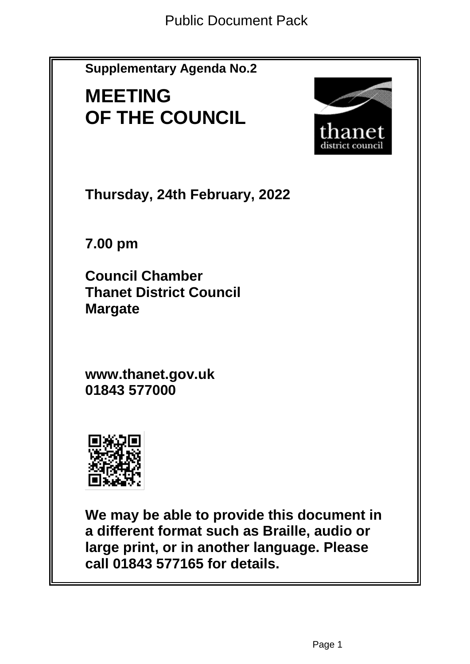

# **MEETING OF THE COUNCIL**



**Thursday, 24th February, 2022**

**7.00 pm**

**Council Chamber Thanet District Council Margate**

**www.thanet.gov.uk 01843 577000**



**We may be able to provide this document in a different format such as Braille, audio or large print, or in another language. Please call 01843 577165 for details.**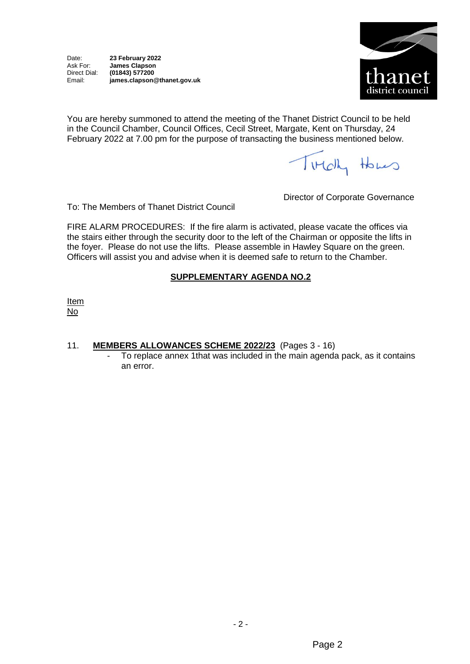

You are hereby summoned to attend the meeting of the Thanet District Council to be held in the Council Chamber, Council Offices, Cecil Street, Margate, Kent on Thursday, 24 February 2022 at 7.00 pm for the purpose of transacting the business mentioned below.

Titch Homes

To: The Members of Thanet District Council

Director of Corporate Governance

FIRE ALARM PROCEDURES: If the fire alarm is activated, please vacate the offices via the stairs either through the security door to the left of the Chairman or opposite the lifts in the foyer. Please do not use the lifts. Please assemble in Hawley Square on the green. Officers will assist you and advise when it is deemed safe to return to the Chamber.

### **SUPPLEMENTARY AGENDA NO.2**

**Item** No

### 11. **MEMBERS ALLOWANCES SCHEME 2022/23** (Pages 3 - 16)

- To replace annex 1that was included in the main agenda pack, as it contains an error.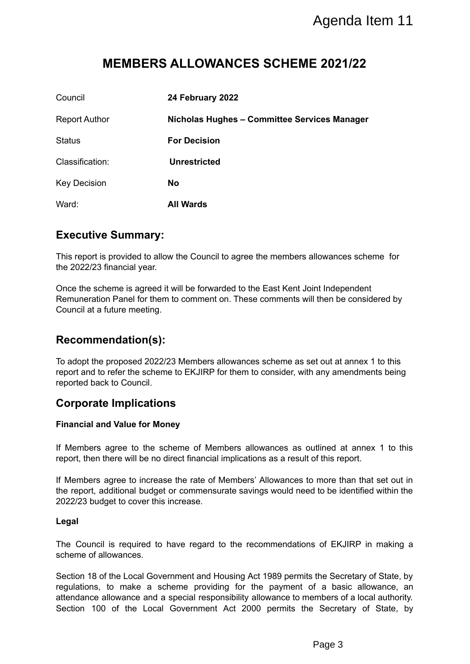## **MEMBERS ALLOWANCES SCHEME 2021/22**

|                                        |                                                                                                                                                                                                                                                                                                                                                                   | Agenda Item 11 |
|----------------------------------------|-------------------------------------------------------------------------------------------------------------------------------------------------------------------------------------------------------------------------------------------------------------------------------------------------------------------------------------------------------------------|----------------|
|                                        | <b>MEMBERS ALLOWANCES SCHEME 2021/22</b>                                                                                                                                                                                                                                                                                                                          |                |
| Council                                | 24 February 2022                                                                                                                                                                                                                                                                                                                                                  |                |
| <b>Report Author</b>                   | Nicholas Hughes - Committee Services Manager                                                                                                                                                                                                                                                                                                                      |                |
| <b>Status</b>                          | <b>For Decision</b>                                                                                                                                                                                                                                                                                                                                               |                |
| Classification:                        | <b>Unrestricted</b>                                                                                                                                                                                                                                                                                                                                               |                |
| <b>Key Decision</b>                    | <b>No</b>                                                                                                                                                                                                                                                                                                                                                         |                |
| Ward:                                  | <b>All Wards</b>                                                                                                                                                                                                                                                                                                                                                  |                |
| <b>Executive Summary:</b>              |                                                                                                                                                                                                                                                                                                                                                                   |                |
| the 2022/23 financial year.            | This report is provided to allow the Council to agree the members allowances scheme for                                                                                                                                                                                                                                                                           |                |
| Council at a future meeting.           | Once the scheme is agreed it will be forwarded to the East Kent Joint Independent<br>Remuneration Panel for them to comment on. These comments will then be considered by                                                                                                                                                                                         |                |
| Recommendation(s):                     |                                                                                                                                                                                                                                                                                                                                                                   |                |
| reported back to Council.              | To adopt the proposed 2022/23 Members allowances scheme as set out at annex 1 to this<br>report and to refer the scheme to EKJIRP for them to consider, with any amendments being                                                                                                                                                                                 |                |
| <b>Corporate Implications</b>          |                                                                                                                                                                                                                                                                                                                                                                   |                |
| <b>Financial and Value for Money</b>   |                                                                                                                                                                                                                                                                                                                                                                   |                |
|                                        | If Members agree to the scheme of Members allowances as outlined at annex 1 to this<br>report, then there will be no direct financial implications as a result of this report.                                                                                                                                                                                    |                |
| 2022/23 budget to cover this increase. | If Members agree to increase the rate of Members' Allowances to more than that set out in<br>the report, additional budget or commensurate savings would need to be identified within the                                                                                                                                                                         |                |
| Legal                                  |                                                                                                                                                                                                                                                                                                                                                                   |                |
| scheme of allowances.                  | The Council is required to have regard to the recommendations of EKJIRP in making a                                                                                                                                                                                                                                                                               |                |
|                                        | Section 18 of the Local Government and Housing Act 1989 permits the Secretary of State, by<br>regulations, to make a scheme providing for the payment of a basic allowance, an<br>attendance allowance and a special responsibility allowance to members of a local authority.<br>Section 100 of the Local Government Act 2000 permits the Secretary of State, by |                |
|                                        |                                                                                                                                                                                                                                                                                                                                                                   | Page 3         |

### **Executive Summary:**

### **Recommendation(s):**

### **Corporate Implications**

### **Financial and Value for Money**

### **Legal**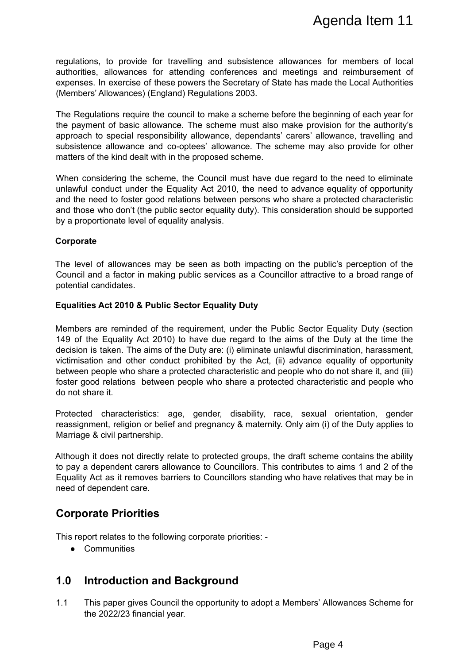regulations, to provide for travelling and subsistence allowances for members of local authorities, allowances for attending conferences and meetings and reimbursement of expenses. In exercise of these powers the Secretary of State has made the Local Authorities (Members' Allowances) (England) Regulations 2003.

The Regulations require the council to make a scheme before the beginning of each year for the payment of basic allowance. The scheme must also make provision for the authority's approach to special responsibility allowance, dependants' carers' allowance, travelling and subsistence allowance and co-optees' allowance. The scheme may also provide for other matters of the kind dealt with in the proposed scheme.

When considering the scheme, the Council must have due regard to the need to eliminate unlawful conduct under the Equality Act 2010, the need to advance equality of opportunity and the need to foster good relations between persons who share a protected characteristic and those who don't (the public sector equality duty). This consideration should be supported by a proportionate level of equality analysis.

### **Corporate**

The level of allowances may be seen as both impacting on the public's perception of the Council and a factor in making public services as a Councillor attractive to a broad range of potential candidates.

### **Equalities Act 2010 & Public Sector Equality Duty**

Members are reminded of the requirement, under the Public Sector Equality Duty (section 149 of the Equality Act 2010) to have due regard to the aims of the Duty at the time the decision is taken. The aims of the Duty are: (i) eliminate unlawful discrimination, harassment, victimisation and other conduct prohibited by the Act, (ii) advance equality of opportunity between people who share a protected characteristic and people who do not share it, and (iii) foster good relations between people who share a protected characteristic and people who do not share it. Agenda Item 11<br>es for members of local<br>s and reimbursement of<br>made the Local Authorities<br>beginning of each year for<br>ovision for the authority's<br>allowance, travelling and<br>any also provide for other<br>d to the need to eliminat

Protected characteristics: age, gender, disability, race, sexual orientation, gender reassignment, religion or belief and pregnancy & maternity. Only aim (i) of the Duty applies to Marriage & civil partnership.

Although it does not directly relate to protected groups, the draft scheme contains the ability to pay a dependent carers allowance to Councillors. This contributes to aims 1 and 2 of the Equality Act as it removes barriers to Councillors standing who have relatives that may be in need of dependent care.

### **Corporate Priorities**

This report relates to the following corporate priorities: -

● Communities

### **1.0 Introduction and Background**

1.1 This paper gives Council the opportunity to adopt a Members' Allowances Scheme for the 2022/23 financial year.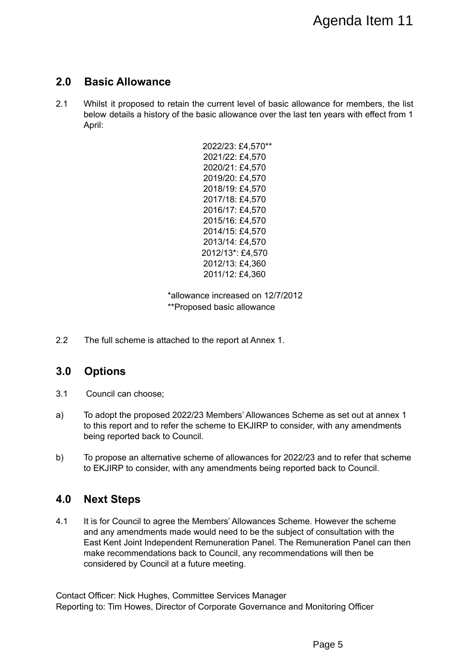### **2.0 Basic Allowance**

2.1 Whilst it proposed to retain the current level of basic allowance for members, the list below details a history of the basic allowance over the last ten years with effect from 1 April:

> 2022/23: £4,570\*\* 2021/22: £4,570 2020/21: £4,570 2019/20: £4,570 2018/19: £4,570 2017/18: £4,570 2016/17: £4,570 2015/16: £4,570 2014/15: £4,570 2013/14: £4,570 2012/13\*: £4,570 2012/13: £4,360 2011/12: £4,360

\*allowance increased on 12/7/2012 \*\*Proposed basic allowance

2.2 The full scheme is attached to the report at Annex 1.

### **3.0 Options**

- 3.1 Council can choose;
- a) To adopt the proposed 2022/23 Members' Allowances Scheme as set out at annex 1 to this report and to refer the scheme to EKJIRP to consider, with any amendments being reported back to Council.
- b) To propose an alternative scheme of allowances for 2022/23 and to refer that scheme to EKJIRP to consider, with any amendments being reported back to Council.

### **4.0 Next Steps**

4.1 It is for Council to agree the Members' Allowances Scheme. However the scheme and any amendments made would need to be the subject of consultation with the East Kent Joint Independent Remuneration Panel. The Remuneration Panel can then make recommendations back to Council, any recommendations will then be considered by Council at a future meeting. Agenda Item 11<br>ance for members, the list<br>an years with effect from 1<br>and to refer that scheme<br>ab and to refer that scheme<br>ab back to Council.<br>However the scheme<br>consultation Panel can then<br>ions will then be<br>onitoring Offi

Contact Officer: Nick Hughes, Committee Services Manager Reporting to: Tim Howes, Director of Corporate Governance and Monitoring Officer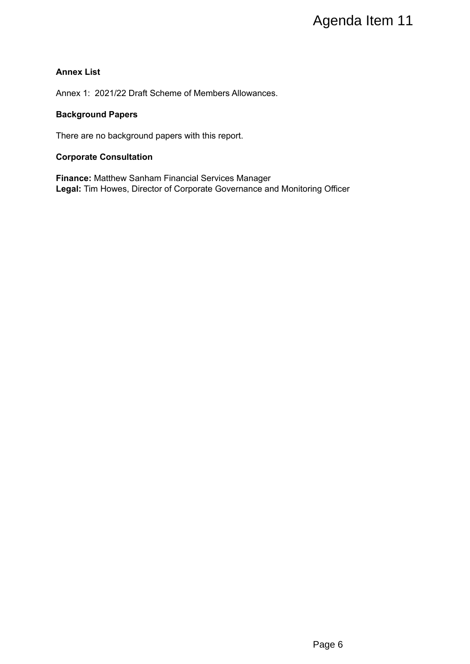### **Annex List**

Annex 1: 2021/22 Draft Scheme of Members Allowances.

### **Background Papers**

There are no background papers with this report.

### **Corporate Consultation**

**Finance:** Matthew Sanham Financial Services Manager **Legal:** Tim Howes, Director of Corporate Governance and Monitoring Officer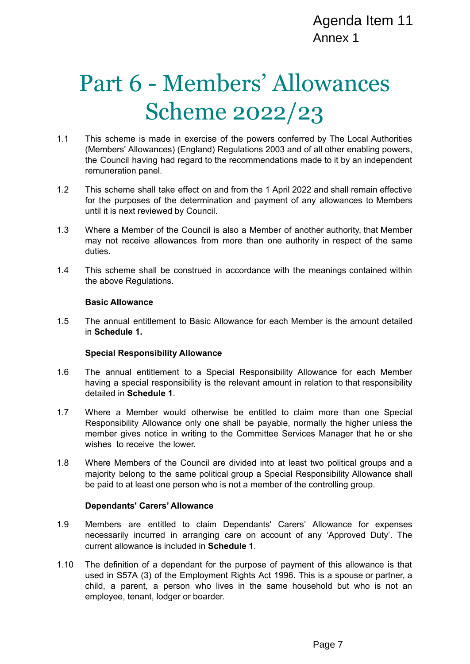# Part 6 - Members' Allowances Scheme 2022/23 Agenda Item 11<br>
Annex 1<br>
Wannex 1<br>
Wannex 1<br>
S<br>
B<br>
by The Local Authorities<br>
all other enabling powers,<br>
ade to it by an independent<br>
and shall remain effective<br>
y allowances to Members<br>
ner authority, that Member<br>
nearnin

- 1.1 This scheme is made in exercise of the powers conferred by The Local Authorities (Members' Allowances) (England) Regulations 2003 and of all other enabling powers, the Council having had regard to the recommendations made to it by an independent remuneration panel.
- 1.2 This scheme shall take effect on and from the 1 April 2022 and shall remain effective for the purposes of the determination and payment of any allowances to Members until it is next reviewed by Council.
- 1.3 Where a Member of the Council is also a Member of another authority, that Member may not receive allowances from more than one authority in respect of the same duties.
- 1.4 This scheme shall be construed in accordance with the meanings contained within the above Regulations.

### **Basic Allowance**

1.5 The annual entitlement to Basic Allowance for each Member is the amount detailed in **Schedule 1.**

### **Special Responsibility Allowance**

- 1.6 The annual entitlement to a Special Responsibility Allowance for each Member having a special responsibility is the relevant amount in relation to that responsibility detailed in **Schedule 1**.
- 1.7 Where a Member would otherwise be entitled to claim more than one Special Responsibility Allowance only one shall be payable, normally the higher unless the member gives notice in writing to the Committee Services Manager that he or she wishes to receive the lower.
- 1.8 Where Members of the Council are divided into at least two political groups and a majority belong to the same political group a Special Responsibility Allowance shall be paid to at least one person who is not a member of the controlling group.

### **Dependants' Carers' Allowance**

- 1.9 Members are entitled to claim Dependants' Carers' Allowance for expenses necessarily incurred in arranging care on account of any 'Approved Duty'. The current allowance is included in **Schedule 1**.
- 1.10 The definition of a dependant for the purpose of payment of this allowance is that used in S57A (3) of the Employment Rights Act 1996. This is a spouse or partner, a child, a parent, a person who lives in the same household but who is not an employee, tenant, lodger or boarder.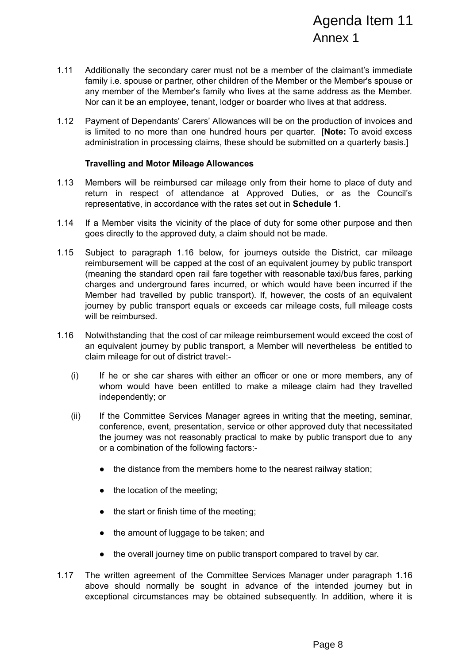- 1.11 Additionally the secondary carer must not be a member of the claimant's immediate family i.e. spouse or partner, other children of the Member or the Member's spouse or any member of the Member's family who lives at the same address as the Member. Nor can it be an employee, tenant, lodger or boarder who lives at that address.
- 1.12 Payment of Dependants' Carers' Allowances will be on the production of invoices and is limited to no more than one hundred hours per quarter. [**Note:** To avoid excess administration in processing claims, these should be submitted on a quarterly basis.]

### **Travelling and Motor Mileage Allowances**

- 1.13 Members will be reimbursed car mileage only from their home to place of duty and return in respect of attendance at Approved Duties, or as the Council's representative, in accordance with the rates set out in **Schedule 1**.
- 1.14 If a Member visits the vicinity of the place of duty for some other purpose and then goes directly to the approved duty, a claim should not be made.
- 1.15 Subject to paragraph 1.16 below, for journeys outside the District, car mileage reimbursement will be capped at the cost of an equivalent journey by public transport (meaning the standard open rail fare together with reasonable taxi/bus fares, parking charges and underground fares incurred, or which would have been incurred if the Member had travelled by public transport). If, however, the costs of an equivalent journey by public transport equals or exceeds car mileage costs, full mileage costs will be reimbursed. Agenda Item 11<br>Annex 1<br>the claimant's immediate<br>or the Member's spouse or<br>address as the Member's spouse or<br>production of invoices and<br>involuction of invoices and<br>involuction of invoices and<br>ted on a quarterly basis.]<br>once
- 1.16 Notwithstanding that the cost of car mileage reimbursement would exceed the cost of an equivalent journey by public transport, a Member will nevertheless be entitled to claim mileage for out of district travel:-
	- (i) If he or she car shares with either an officer or one or more members, any of whom would have been entitled to make a mileage claim had they travelled independently; or
	- (ii) If the Committee Services Manager agrees in writing that the meeting, seminar, conference, event, presentation, service or other approved duty that necessitated the journey was not reasonably practical to make by public transport due to any or a combination of the following factors:-
		- the distance from the members home to the nearest railway station;
		- the location of the meeting;
		- the start or finish time of the meeting;
		- the amount of luggage to be taken; and
		- the overall journey time on public transport compared to travel by car.
- 1.17 The written agreement of the Committee Services Manager under paragraph 1.16 above should normally be sought in advance of the intended journey but in exceptional circumstances may be obtained subsequently. In addition, where it is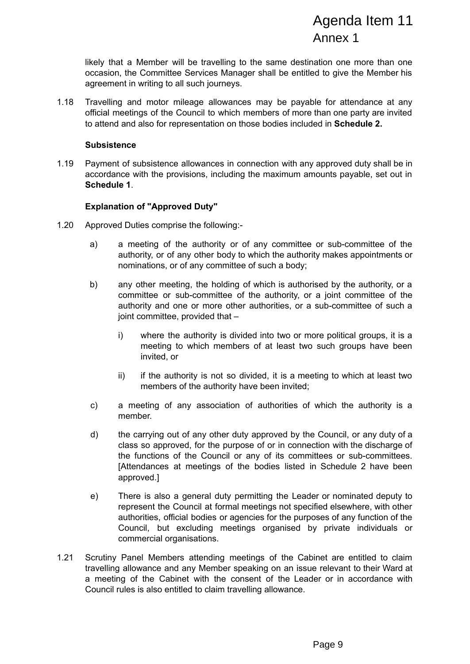likely that a Member will be travelling to the same destination one more than one occasion, the Committee Services Manager shall be entitled to give the Member his agreement in writing to all such journeys.

1.18 Travelling and motor mileage allowances may be payable for attendance at any official meetings of the Council to which members of more than one party are invited to attend and also for representation on those bodies included in **Schedule 2.**

### **Subsistence**

1.19 Payment of subsistence allowances in connection with any approved duty shall be in accordance with the provisions, including the maximum amounts payable, set out in **Schedule 1**.

### **Explanation of "Approved Duty"**

- 1.20 Approved Duties comprise the following:
	- a) a meeting of the authority or of any committee or sub-committee of the authority, or of any other body to which the authority makes appointments or nominations, or of any committee of such a body;
	- b) any other meeting, the holding of which is authorised by the authority, or a committee or sub-committee of the authority, or a joint committee of the authority and one or more other authorities, or a sub-committee of such a joint committee, provided that –
		- i) where the authority is divided into two or more political groups, it is a meeting to which members of at least two such groups have been invited, or
		- $ii)$  if the authority is not so divided, it is a meeting to which at least two members of the authority have been invited;
	- c) a meeting of any association of authorities of which the authority is a member.
- d) the carrying out of any other duty approved by the Council, or any duty of a class so approved, for the purpose of or in connection with the discharge of the functions of the Council or any of its committees or sub-committees. [Attendances at meetings of the bodies listed in Schedule 2 have been approved.] Agenda Item 11<br>Annex 1<br>ation one more than one<br>be for attendance at any<br>than one party are invited<br>ed in Schedule 2.<br>approved duty shall be in<br>pounts payable, set out in<br>ounts payable, set out in<br>ounts payable, set out in<br>
	- e) There is also a general duty permitting the Leader or nominated deputy to represent the Council at formal meetings not specified elsewhere, with other authorities, official bodies or agencies for the purposes of any function of the Council, but excluding meetings organised by private individuals or commercial organisations.
- 1.21 Scrutiny Panel Members attending meetings of the Cabinet are entitled to claim travelling allowance and any Member speaking on an issue relevant to their Ward at a meeting of the Cabinet with the consent of the Leader or in accordance with Council rules is also entitled to claim travelling allowance.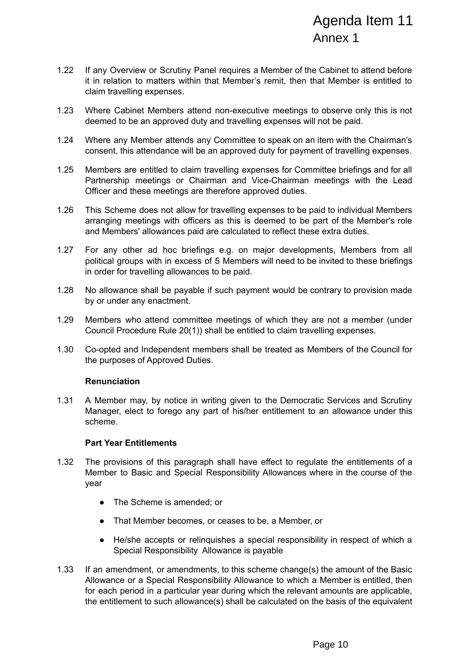- 1.22 If any Overview or Scrutiny Panel requires a Member of the Cabinet to attend before it in relation to matters within that Member's remit, then that Member is entitled to claim travelling expenses.
- 1.23 Where Cabinet Members attend non-executive meetings to observe only this is not deemed to be an approved duty and travelling expenses will not be paid.
- 1.24 Where any Member attends any Committee to speak on an item with the Chairman's consent, this attendance will be an approved duty for payment of travelling expenses.
- 1.25 Members are entitled to claim travelling expenses for Committee briefings and for all Partnership meetings or Chairman and Vice-Chairman meetings with the Lead Officer and these meetings are therefore approved duties.
- 1.26 This Scheme does not allow for travelling expenses to be paid to individual Members arranging meetings with officers as this is deemed to be part of the Member's role and Members' allowances paid are calculated to reflect these extra duties.
- 1.27 For any other ad hoc briefings e.g. on major developments, Members from all political groups with in excess of 5 Members will need to be invited to these briefings in order for travelling allowances to be paid.
- 1.28 No allowance shall be payable if such payment would be contrary to provision made by or under any enactment.
- 1.29 Members who attend committee meetings of which they are not a member (under Council Procedure Rule 20(1)) shall be entitled to claim travelling expenses.
- 1.30 Co-opted and Independent members shall be treated as Members of the Council for the purposes of Approved Duties.

### **Renunciation**

1.31 A Member may, by notice in writing given to the Democratic Services and Scrutiny Manager, elect to forego any part of his/her entitlement to an allowance under this scheme.

### **Part Year Entitlements**

- 1.32 The provisions of this paragraph shall have effect to regulate the entitlements of a Member to Basic and Special Responsibility Allowances where in the course of the year
	- The Scheme is amended; or
	- That Member becomes, or ceases to be, a Member, or
	- He/she accepts or relinquishes a special responsibility in respect of which a Special Responsibility Allowance is payable
- 1.33 If an amendment, or amendments, to this scheme change(s) the amount of the Basic Allowance or a Special Responsibility Allowance to which a Member is entitled, then for each period in a particular year during which the relevant amounts are applicable, the entitlement to such allowance(s) shall be calculated on the basis of the equivalent Agenda Item 11<br>Annex 1<br>
e Cabinet to attend before<br>
hat Member is entitled to<br>
co observe only this is not<br>
ince to be paid.<br>
item with the Chairman's<br>
intem with the Chairman's<br>
mittee briefings and for all<br>
meetings with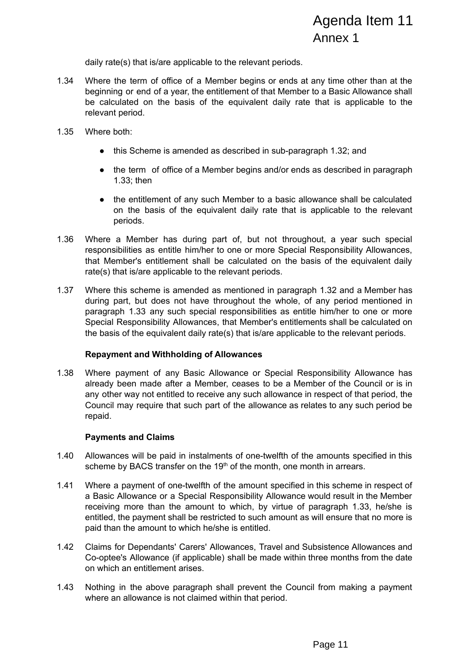daily rate(s) that is/are applicable to the relevant periods.

- 1.34 Where the term of office of a Member begins or ends at any time other than at the beginning or end of a year, the entitlement of that Member to a Basic Allowance shall be calculated on the basis of the equivalent daily rate that is applicable to the relevant period.
- 1.35 Where both:
	- this Scheme is amended as described in sub-paragraph 1.32; and
	- the term of office of a Member begins and/or ends as described in paragraph 1.33; then
	- the entitlement of any such Member to a basic allowance shall be calculated on the basis of the equivalent daily rate that is applicable to the relevant periods.
- 1.36 Where a Member has during part of, but not throughout, a year such special responsibilities as entitle him/her to one or more Special Responsibility Allowances, that Member's entitlement shall be calculated on the basis of the equivalent daily rate(s) that is/are applicable to the relevant periods.
- 1.37 Where this scheme is amended as mentioned in paragraph 1.32 and a Member has during part, but does not have throughout the whole, of any period mentioned in paragraph 1.33 any such special responsibilities as entitle him/her to one or more Special Responsibility Allowances, that Member's entitlements shall be calculated on the basis of the equivalent daily rate(s) that is/are applicable to the relevant periods.

### **Repayment and Withholding of Allowances**

1.38 Where payment of any Basic Allowance or Special Responsibility Allowance has already been made after a Member, ceases to be a Member of the Council or is in any other way not entitled to receive any such allowance in respect of that period, the Council may require that such part of the allowance as relates to any such period be repaid. Agenda Item 11<br>Annex 1<br>The and the and the conduction and the conduction and that is applicable to the<br>aph 1.32; and<br>as described in paragraph<br>wance shall be calculated<br>applicable to the relevant<br>out, a year such special<br>R

### **Payments and Claims**

- 1.40 Allowances will be paid in instalments of one-twelfth of the amounts specified in this scheme by BACS transfer on the  $19<sup>th</sup>$  of the month, one month in arrears.
- 1.41 Where a payment of one-twelfth of the amount specified in this scheme in respect of a Basic Allowance or a Special Responsibility Allowance would result in the Member receiving more than the amount to which, by virtue of paragraph 1.33, he/she is entitled, the payment shall be restricted to such amount as will ensure that no more is paid than the amount to which he/she is entitled.
- 1.42 Claims for Dependants' Carers' Allowances, Travel and Subsistence Allowances and Co-optee's Allowance (if applicable) shall be made within three months from the date on which an entitlement arises.
- 1.43 Nothing in the above paragraph shall prevent the Council from making a payment where an allowance is not claimed within that period.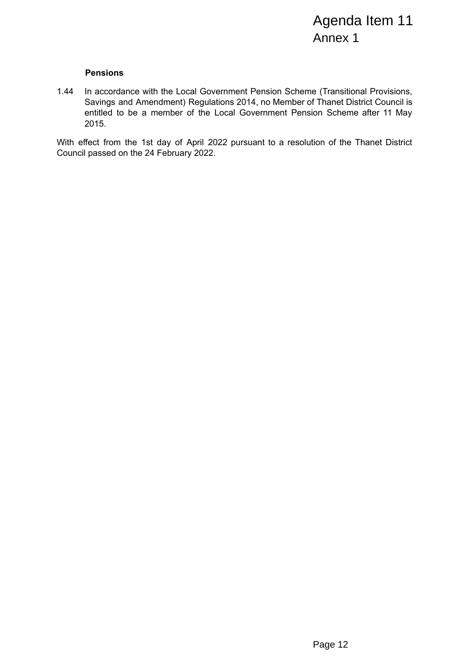### **Pensions**

1.44 In accordance with the Local Government Pension Scheme (Transitional Provisions, Savings and Amendment) Regulations 2014, no Member of Thanet District Council is entitled to be a member of the Local Government Pension Scheme after 11 May 2015. Agenda Item 11<br>Annex 1<br>e (Transitional Provisions, Thanet District Council is<br>on Scheme after 11 May<br>ion of the Thanet District<br>Page 12

With effect from the 1st day of April 2022 pursuant to a resolution of the Thanet District Council passed on the 24 February 2022.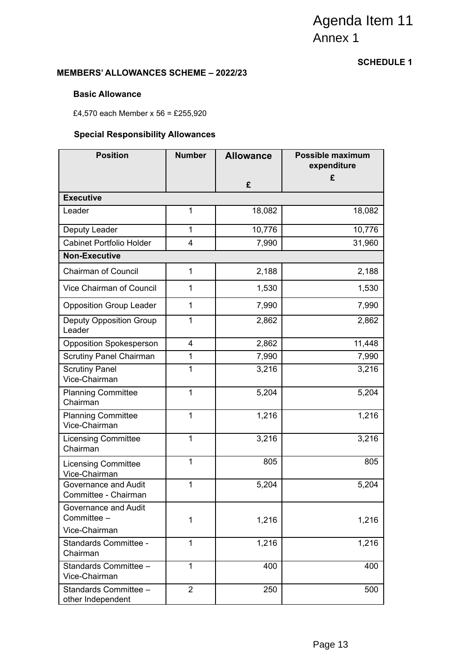### **SCHEDULE 1**

### **MEMBERS' ALLOWANCES SCHEME – 2022/23**

### **Basic Allowance**

### **Special Responsibility Allowances**

| <b>MEMBERS' ALLOWANCES SCHEME - 2022/23</b>        | <b>SCHEDULE 1</b> |                  |                                        |
|----------------------------------------------------|-------------------|------------------|----------------------------------------|
| <b>Basic Allowance</b>                             |                   |                  |                                        |
| £4,570 each Member x 56 = £255,920                 |                   |                  |                                        |
| <b>Special Responsibility Allowances</b>           |                   |                  |                                        |
| <b>Position</b>                                    | <b>Number</b>     | <b>Allowance</b> | <b>Possible maximum</b><br>expenditure |
|                                                    |                   | £                | £                                      |
| <b>Executive</b>                                   |                   |                  |                                        |
| Leader                                             | 1                 | 18,082           | 18,082                                 |
| Deputy Leader                                      | 1                 | 10,776           | 10,776                                 |
| <b>Cabinet Portfolio Holder</b>                    | 4                 | 7,990            | 31,960                                 |
| <b>Non-Executive</b>                               |                   |                  |                                        |
| <b>Chairman of Council</b>                         | 1                 | 2,188            | 2,188                                  |
| Vice Chairman of Council                           | 1                 | 1,530            | 1,530                                  |
| <b>Opposition Group Leader</b>                     | 1                 | 7,990            | 7,990                                  |
| Deputy Opposition Group<br>Leader                  | 1                 | 2,862            | 2,862                                  |
| <b>Opposition Spokesperson</b>                     | 4                 | 2,862            | 11,448                                 |
| <b>Scrutiny Panel Chairman</b>                     | 1                 | 7,990            | 7,990                                  |
| <b>Scrutiny Panel</b><br>Vice-Chairman             | $\mathbf{1}$      | 3,216            | 3,216                                  |
| <b>Planning Committee</b><br>Chairman              | 1                 | 5,204            | 5,204                                  |
| <b>Planning Committee</b><br>Vice-Chairman         | 1                 | 1,216            | 1,216                                  |
| <b>Licensing Committee</b><br>Chairman             | 1                 | 3,216            | 3,216                                  |
| <b>Licensing Committee</b><br>Vice-Chairman        | 1                 | 805              | 805                                    |
| Governance and Audit<br>Committee - Chairman       | 1                 | 5,204            | 5,204                                  |
| Governance and Audit<br>Committee -                | 1                 | 1,216            | 1,216                                  |
| Vice-Chairman<br>Standards Committee -<br>Chairman | 1                 | 1,216            | 1,216                                  |
| Standards Committee -<br>Vice-Chairman             | $\overline{1}$    | 400              | 400                                    |
| Standards Committee -<br>other Independent         | $\overline{2}$    | 250              | 500                                    |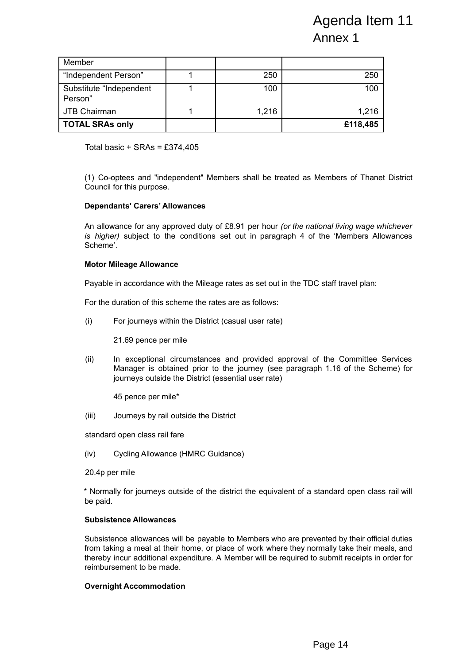|                                |                                                                                                                                                                                                                        |   |       | Agenda Item 11                                                                                                                                                                                                                                                                                  |  |  |  |
|--------------------------------|------------------------------------------------------------------------------------------------------------------------------------------------------------------------------------------------------------------------|---|-------|-------------------------------------------------------------------------------------------------------------------------------------------------------------------------------------------------------------------------------------------------------------------------------------------------|--|--|--|
|                                |                                                                                                                                                                                                                        |   |       | Annex 1                                                                                                                                                                                                                                                                                         |  |  |  |
|                                |                                                                                                                                                                                                                        |   |       |                                                                                                                                                                                                                                                                                                 |  |  |  |
| Member<br>"Independent Person" |                                                                                                                                                                                                                        | 1 | 250   | 250                                                                                                                                                                                                                                                                                             |  |  |  |
| Substitute "Independent        |                                                                                                                                                                                                                        | 1 | 100   | 100                                                                                                                                                                                                                                                                                             |  |  |  |
| Person"                        |                                                                                                                                                                                                                        |   |       |                                                                                                                                                                                                                                                                                                 |  |  |  |
| <b>JTB Chairman</b>            |                                                                                                                                                                                                                        | 1 | 1,216 | 1,216                                                                                                                                                                                                                                                                                           |  |  |  |
| <b>TOTAL SRAs only</b>         |                                                                                                                                                                                                                        |   |       | £118,485                                                                                                                                                                                                                                                                                        |  |  |  |
|                                | Total basic + SRAs = £374,405                                                                                                                                                                                          |   |       | (1) Co-optees and "independent" Members shall be treated as Members of Thanet District                                                                                                                                                                                                          |  |  |  |
|                                | Council for this purpose.                                                                                                                                                                                              |   |       |                                                                                                                                                                                                                                                                                                 |  |  |  |
|                                | <b>Dependants' Carers' Allowances</b>                                                                                                                                                                                  |   |       |                                                                                                                                                                                                                                                                                                 |  |  |  |
| Scheme'.                       |                                                                                                                                                                                                                        |   |       | An allowance for any approved duty of £8.91 per hour (or the national living wage whichever<br>is higher) subject to the conditions set out in paragraph 4 of the 'Members Allowances                                                                                                           |  |  |  |
|                                | <b>Motor Mileage Allowance</b>                                                                                                                                                                                         |   |       |                                                                                                                                                                                                                                                                                                 |  |  |  |
|                                |                                                                                                                                                                                                                        |   |       | Payable in accordance with the Mileage rates as set out in the TDC staff travel plan:                                                                                                                                                                                                           |  |  |  |
|                                | For the duration of this scheme the rates are as follows:                                                                                                                                                              |   |       |                                                                                                                                                                                                                                                                                                 |  |  |  |
| (i)                            | For journeys within the District (casual user rate)                                                                                                                                                                    |   |       |                                                                                                                                                                                                                                                                                                 |  |  |  |
|                                | 21.69 pence per mile                                                                                                                                                                                                   |   |       |                                                                                                                                                                                                                                                                                                 |  |  |  |
| (ii)                           | In exceptional circumstances and provided approval of the Committee Services<br>Manager is obtained prior to the journey (see paragraph 1.16 of the Scheme) for<br>journeys outside the District (essential user rate) |   |       |                                                                                                                                                                                                                                                                                                 |  |  |  |
|                                | 45 pence per mile*                                                                                                                                                                                                     |   |       |                                                                                                                                                                                                                                                                                                 |  |  |  |
| (iii)                          | Journeys by rail outside the District                                                                                                                                                                                  |   |       |                                                                                                                                                                                                                                                                                                 |  |  |  |
|                                | standard open class rail fare                                                                                                                                                                                          |   |       |                                                                                                                                                                                                                                                                                                 |  |  |  |
| (iv)                           | Cycling Allowance (HMRC Guidance)                                                                                                                                                                                      |   |       |                                                                                                                                                                                                                                                                                                 |  |  |  |
| 20.4p per mile                 |                                                                                                                                                                                                                        |   |       |                                                                                                                                                                                                                                                                                                 |  |  |  |
| be paid.                       |                                                                                                                                                                                                                        |   |       | * Normally for journeys outside of the district the equivalent of a standard open class rail will                                                                                                                                                                                               |  |  |  |
|                                | <b>Subsistence Allowances</b>                                                                                                                                                                                          |   |       |                                                                                                                                                                                                                                                                                                 |  |  |  |
|                                | reimbursement to be made.                                                                                                                                                                                              |   |       | Subsistence allowances will be payable to Members who are prevented by their official duties<br>from taking a meal at their home, or place of work where they normally take their meals, and<br>thereby incur additional expenditure. A Member will be required to submit receipts in order for |  |  |  |
|                                | <b>Overnight Accommodation</b>                                                                                                                                                                                         |   |       |                                                                                                                                                                                                                                                                                                 |  |  |  |
|                                |                                                                                                                                                                                                                        |   |       |                                                                                                                                                                                                                                                                                                 |  |  |  |
|                                |                                                                                                                                                                                                                        |   |       |                                                                                                                                                                                                                                                                                                 |  |  |  |
|                                |                                                                                                                                                                                                                        |   |       | Page 14                                                                                                                                                                                                                                                                                         |  |  |  |

### **Dependants' Carers' Allowances**

### **Motor Mileage Allowance**

### **Subsistence Allowances**

### **Overnight Accommodation**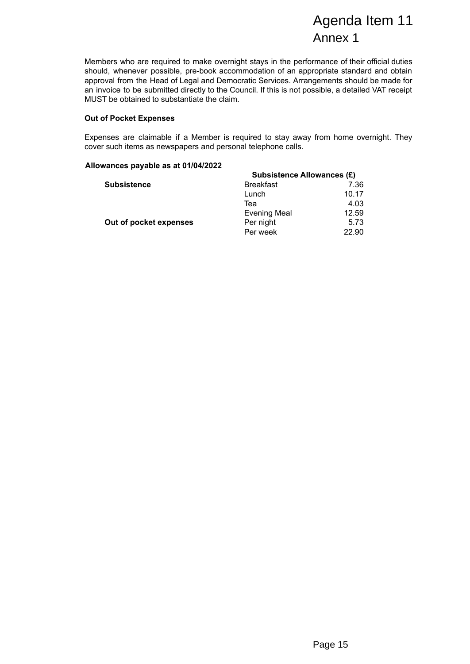Members who are required to make overnight stays in the performance of their official duties should, whenever possible, pre-book accommodation of an appropriate standard and obtain approval from the Head of Legal and Democratic Services. Arrangements should be made for an invoice to be submitted directly to the Council. If this is not possible, a detailed VAT receipt MUST be obtained to substantiate the claim. Agenda Item 11<br>
Annex 1<br>
mance of their official duties<br>
opriate standard and obtain<br>
gements should be made for<br>
sible, a detailed VAT receipt<br>
from home overnight. They<br>
wances (£)<br>
7.36<br>
10.17<br>
4.03<br>
12.59<br>
5.73<br>
22.90<br>

### **Out of Pocket Expenses**

Expenses are claimable if a Member is required to stay away from home overnight. They cover such items as newspapers and personal telephone calls.

### **Allowances payable as at 01/04/2022**

|                        | <b>Subsistence Allowances (£)</b> |       |  |
|------------------------|-----------------------------------|-------|--|
| <b>Subsistence</b>     | <b>Breakfast</b>                  | 7.36  |  |
|                        | Lunch                             | 10.17 |  |
|                        | Теа                               | 4.03  |  |
|                        | <b>Evening Meal</b>               | 12.59 |  |
| Out of pocket expenses | Per night                         | 5.73  |  |
|                        | Per week                          | 22.90 |  |